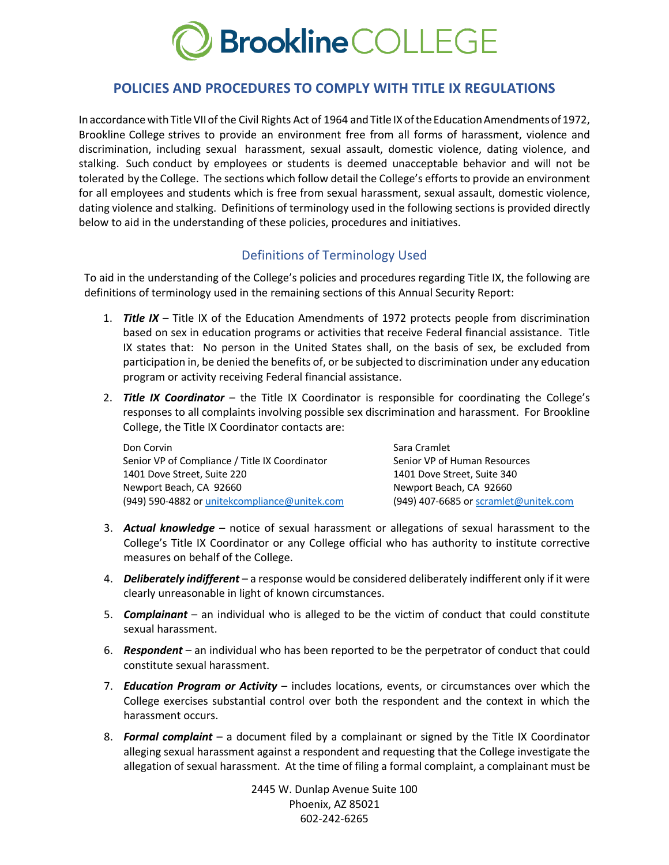

## **POLICIES AND PROCEDURES TO COMPLY WITH TITLE IX REGULATIONS**

In accordance with Title VII of the Civil Rights Act of 1964 and Title IX of the Education Amendments of 1972, Brookline College strives to provide an environment free from all forms of harassment, violence and discrimination, including sexual harassment, sexual assault, domestic violence, dating violence, and stalking. Such conduct by employees or students is deemed unacceptable behavior and will not be tolerated by the College. The sections which follow detail the College's efforts to provide an environment for all employees and students which is free from sexual harassment, sexual assault, domestic violence, dating violence and stalking. Definitions of terminology used in the following sections is provided directly below to aid in the understanding of these policies, procedures and initiatives.

# Definitions of Terminology Used

To aid in the understanding of the College's policies and procedures regarding Title IX, the following are definitions of terminology used in the remaining sections of this Annual Security Report:

- 1. *Title IX* Title IX of the Education Amendments of 1972 protects people from discrimination based on sex in education programs or activities that receive Federal financial assistance. Title IX states that: No person in the United States shall, on the basis of sex, be excluded from participation in, be denied the benefits of, or be subjected to discrimination under any education program or activity receiving Federal financial assistance.
- 2. *Title IX Coordinator*  the Title IX Coordinator is responsible for coordinating the College's responses to all complaints involving possible sex discrimination and harassment. For Brookline College, the Title IX Coordinator contacts are:

| Don Corvin                                     | Sara Cramlet                            |
|------------------------------------------------|-----------------------------------------|
| Senior VP of Compliance / Title IX Coordinator | Senior VP of Human Resources            |
| 1401 Dove Street, Suite 220                    | 1401 Dove Street, Suite 340             |
| Newport Beach, CA 92660                        | Newport Beach, CA 92660                 |
| (949) 590-4882 or unitekcompliance@unitek.com  | $(949)$ 407-6685 or scramlet@unitek.com |

- 3. *Actual knowledge* notice of sexual harassment or allegations of sexual harassment to the College's Title IX Coordinator or any College official who has authority to institute corrective measures on behalf of the College.
- 4. *Deliberately indifferent* a response would be considered deliberately indifferent only if it were clearly unreasonable in light of known circumstances.
- 5. *Complainant* an individual who is alleged to be the victim of conduct that could constitute sexual harassment.
- 6. *Respondent* an individual who has been reported to be the perpetrator of conduct that could constitute sexual harassment.
- 7. *Education Program or Activity*  includes locations, events, or circumstances over which the College exercises substantial control over both the respondent and the context in which the harassment occurs.
- 8. *Formal complaint* a document filed by a complainant or signed by the Title IX Coordinator alleging sexual harassment against a respondent and requesting that the College investigate the allegation of sexual harassment. At the time of filing a formal complaint, a complainant must be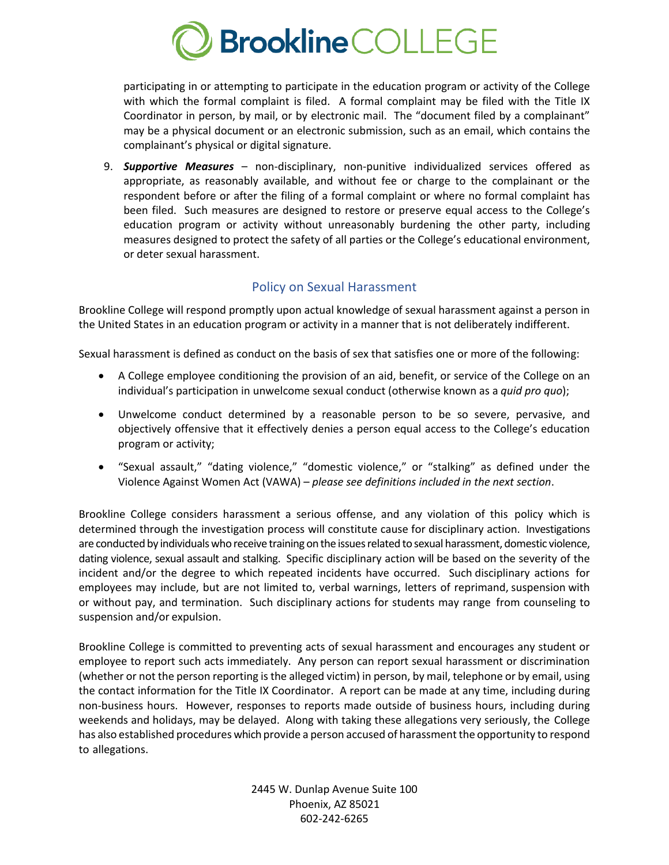

participating in or attempting to participate in the education program or activity of the College with which the formal complaint is filed. A formal complaint may be filed with the Title IX Coordinator in person, by mail, or by electronic mail. The "document filed by a complainant" may be a physical document or an electronic submission, such as an email, which contains the complainant's physical or digital signature.

9. *Supportive Measures* – non-disciplinary, non-punitive individualized services offered as appropriate, as reasonably available, and without fee or charge to the complainant or the respondent before or after the filing of a formal complaint or where no formal complaint has been filed. Such measures are designed to restore or preserve equal access to the College's education program or activity without unreasonably burdening the other party, including measures designed to protect the safety of all parties or the College's educational environment, or deter sexual harassment.

# Policy on Sexual Harassment

Brookline College will respond promptly upon actual knowledge of sexual harassment against a person in the United States in an education program or activity in a manner that is not deliberately indifferent.

Sexual harassment is defined as conduct on the basis of sex that satisfies one or more of the following:

- A College employee conditioning the provision of an aid, benefit, or service of the College on an individual's participation in unwelcome sexual conduct (otherwise known as a *quid pro quo*);
- Unwelcome conduct determined by a reasonable person to be so severe, pervasive, and objectively offensive that it effectively denies a person equal access to the College's education program or activity;
- "Sexual assault," "dating violence," "domestic violence," or "stalking" as defined under the Violence Against Women Act (VAWA) – *please see definitions included in the next section*.

Brookline College considers harassment a serious offense, and any violation of this policy which is determined through the investigation process will constitute cause for disciplinary action. Investigations are conducted by individuals who receive training on the issues related to sexual harassment, domestic violence, dating violence, sexual assault and stalking. Specific disciplinary action will be based on the severity of the incident and/or the degree to which repeated incidents have occurred. Such disciplinary actions for employees may include, but are not limited to, verbal warnings, letters of reprimand, suspension with or without pay, and termination. Such disciplinary actions for students may range from counseling to suspension and/or expulsion.

Brookline College is committed to preventing acts of sexual harassment and encourages any student or employee to report such acts immediately. Any person can report sexual harassment or discrimination (whether or not the person reporting is the alleged victim) in person, by mail, telephone or by email, using the contact information for the Title IX Coordinator. A report can be made at any time, including during non-business hours. However, responses to reports made outside of business hours, including during weekends and holidays, may be delayed. Along with taking these allegations very seriously, the College has also established procedures which provide a person accused of harassment the opportunity to respond to allegations.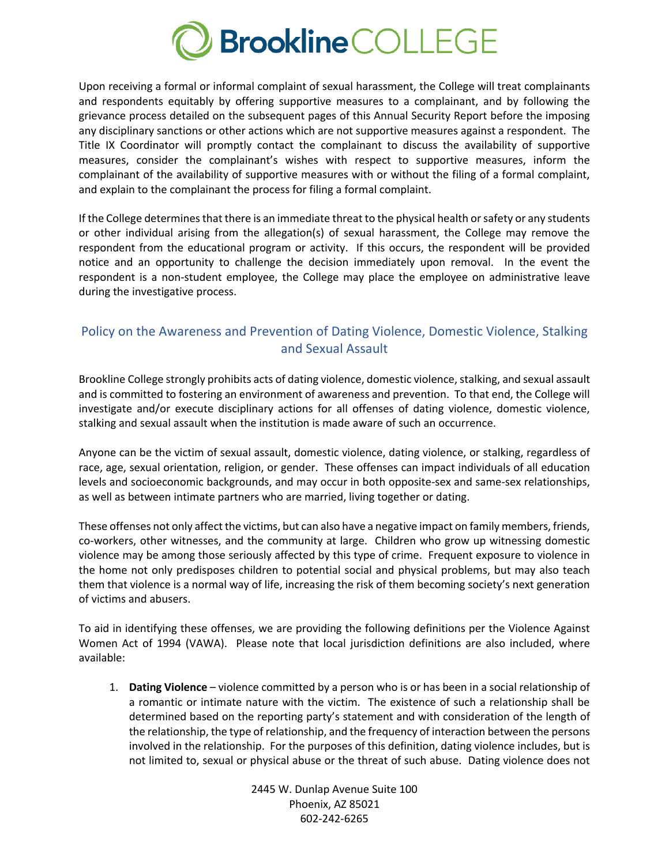

Upon receiving a formal or informal complaint of sexual harassment, the College will treat complainants and respondents equitably by offering supportive measures to a complainant, and by following the grievance process detailed on the subsequent pages of this Annual Security Report before the imposing any disciplinary sanctions or other actions which are not supportive measures against a respondent. The Title IX Coordinator will promptly contact the complainant to discuss the availability of supportive measures, consider the complainant's wishes with respect to supportive measures, inform the complainant of the availability of supportive measures with or without the filing of a formal complaint, and explain to the complainant the process for filing a formal complaint.

If the College determines that there is an immediate threat to the physical health or safety or any students or other individual arising from the allegation(s) of sexual harassment, the College may remove the respondent from the educational program or activity. If this occurs, the respondent will be provided notice and an opportunity to challenge the decision immediately upon removal. In the event the respondent is a non-student employee, the College may place the employee on administrative leave during the investigative process.

# Policy on the Awareness and Prevention of Dating Violence, Domestic Violence, Stalking and Sexual Assault

Brookline College strongly prohibits acts of dating violence, domestic violence, stalking, and sexual assault and is committed to fostering an environment of awareness and prevention. To that end, the College will investigate and/or execute disciplinary actions for all offenses of dating violence, domestic violence, stalking and sexual assault when the institution is made aware of such an occurrence.

Anyone can be the victim of sexual assault, domestic violence, dating violence, or stalking, regardless of race, age, sexual orientation, religion, or gender. These offenses can impact individuals of all education levels and socioeconomic backgrounds, and may occur in both opposite-sex and same-sex relationships, as well as between intimate partners who are married, living together or dating.

These offenses not only affect the victims, but can also have a negative impact on family members, friends, co-workers, other witnesses, and the community at large. Children who grow up witnessing domestic violence may be among those seriously affected by this type of crime. Frequent exposure to violence in the home not only predisposes children to potential social and physical problems, but may also teach them that violence is a normal way of life, increasing the risk of them becoming society's next generation of victims and abusers.

To aid in identifying these offenses, we are providing the following definitions per the Violence Against Women Act of 1994 (VAWA). Please note that local jurisdiction definitions are also included, where available:

1. **Dating Violence** – violence committed by a person who is or has been in a social relationship of a romantic or intimate nature with the victim. The existence of such a relationship shall be determined based on the reporting party's statement and with consideration of the length of the relationship, the type of relationship, and the frequency of interaction between the persons involved in the relationship. For the purposes of this definition, dating violence includes, but is not limited to, sexual or physical abuse or the threat of such abuse. Dating violence does not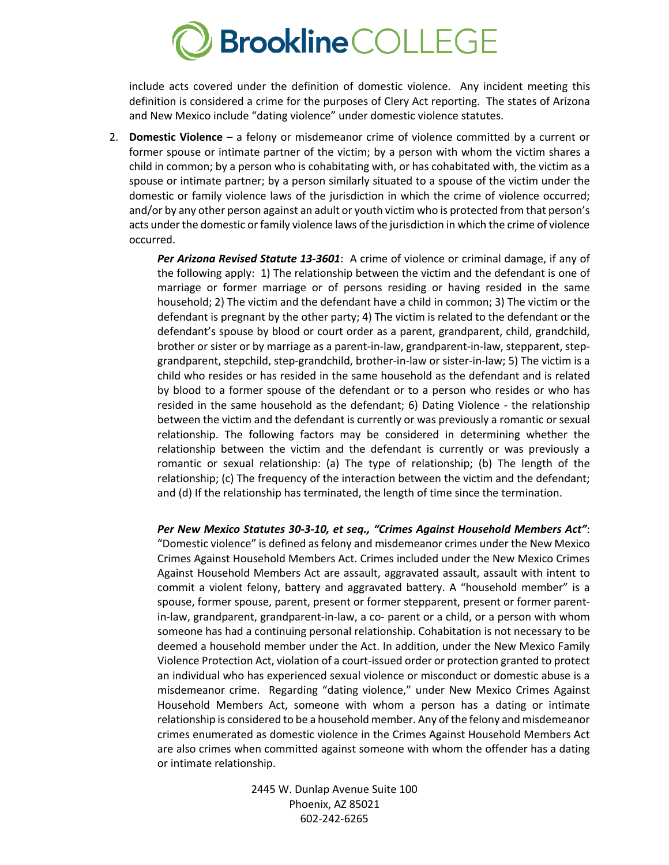

include acts covered under the definition of domestic violence. Any incident meeting this definition is considered a crime for the purposes of Clery Act reporting. The states of Arizona and New Mexico include "dating violence" under domestic violence statutes.

2. **Domestic Violence** – a felony or misdemeanor crime of violence committed by a current or former spouse or intimate partner of the victim; by a person with whom the victim shares a child in common; by a person who is cohabitating with, or has cohabitated with, the victim as a spouse or intimate partner; by a person similarly situated to a spouse of the victim under the domestic or family violence laws of the jurisdiction in which the crime of violence occurred; and/or by any other person against an adult or youth victim who is protected from that person's acts under the domestic or family violence laws of the jurisdiction in which the crime of violence occurred.

*Per Arizona Revised Statute 13-3601*: A crime of violence or criminal damage, if any of the following apply: 1) The relationship between the victim and the defendant is one of marriage or former marriage or of persons residing or having resided in the same household; 2) The victim and the defendant have a child in common; 3) The victim or the defendant is pregnant by the other party; 4) The victim is related to the defendant or the defendant's spouse by blood or court order as a parent, grandparent, child, grandchild, brother or sister or by marriage as a parent-in-law, grandparent-in-law, stepparent, stepgrandparent, stepchild, step-grandchild, brother-in-law or sister-in-law; 5) The victim is a child who resides or has resided in the same household as the defendant and is related by blood to a former spouse of the defendant or to a person who resides or who has resided in the same household as the defendant; 6) Dating Violence - the relationship between the victim and the defendant is currently or was previously a romantic or sexual relationship. The following factors may be considered in determining whether the relationship between the victim and the defendant is currently or was previously a romantic or sexual relationship: (a) The type of relationship; (b) The length of the relationship; (c) The frequency of the interaction between the victim and the defendant; and (d) If the relationship has terminated, the length of time since the termination.

*Per New Mexico Statutes 30-3-10, et seq., "Crimes Against Household Members Act"*: "Domestic violence" is defined as felony and misdemeanor crimes under the New Mexico Crimes Against Household Members Act. Crimes included under the New Mexico Crimes Against Household Members Act are assault, aggravated assault, assault with intent to commit a violent felony, battery and aggravated battery. A "household member" is a spouse, former spouse, parent, present or former stepparent, present or former parentin-law, grandparent, grandparent-in-law, a co- parent or a child, or a person with whom someone has had a continuing personal relationship. Cohabitation is not necessary to be deemed a household member under the Act. In addition, under the New Mexico Family Violence Protection Act, violation of a court-issued order or protection granted to protect an individual who has experienced sexual violence or misconduct or domestic abuse is a misdemeanor crime. Regarding "dating violence," under New Mexico Crimes Against Household Members Act, someone with whom a person has a dating or intimate relationship is considered to be a household member. Any of the felony and misdemeanor crimes enumerated as domestic violence in the Crimes Against Household Members Act are also crimes when committed against someone with whom the offender has a dating or intimate relationship.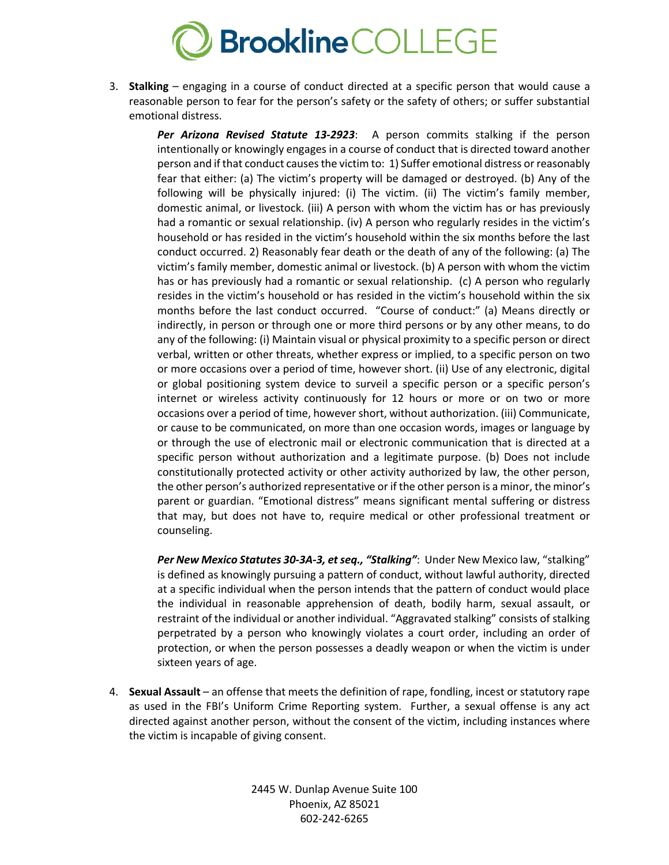

3. **Stalking** – engaging in a course of conduct directed at a specific person that would cause a reasonable person to fear for the person's safety or the safety of others; or suffer substantial emotional distress.

*Per Arizona Revised Statute 13-2923*: A person commits stalking if the person intentionally or knowingly engages in a course of conduct that is directed toward another person and if that conduct causes the victim to: 1) Suffer emotional distress or reasonably fear that either: (a) The victim's property will be damaged or destroyed. (b) Any of the following will be physically injured: (i) The victim. (ii) The victim's family member, domestic animal, or livestock. (iii) A person with whom the victim has or has previously had a romantic or sexual relationship. (iv) A person who regularly resides in the victim's household or has resided in the victim's household within the six months before the last conduct occurred. 2) Reasonably fear death or the death of any of the following: (a) The victim's family member, domestic animal or livestock. (b) A person with whom the victim has or has previously had a romantic or sexual relationship. (c) A person who regularly resides in the victim's household or has resided in the victim's household within the six months before the last conduct occurred. "Course of conduct:" (a) Means directly or indirectly, in person or through one or more third persons or by any other means, to do any of the following: (i) Maintain visual or physical proximity to a specific person or direct verbal, written or other threats, whether express or implied, to a specific person on two or more occasions over a period of time, however short. (ii) Use of any electronic, digital or global positioning system device to surveil a specific person or a specific person's internet or wireless activity continuously for 12 hours or more or on two or more occasions over a period of time, however short, without authorization. (iii) Communicate, or cause to be communicated, on more than one occasion words, images or language by or through the use of electronic mail or electronic communication that is directed at a specific person without authorization and a legitimate purpose. (b) Does not include constitutionally protected activity or other activity authorized by law, the other person, the other person's authorized representative or if the other person is a minor, the minor's parent or guardian. "Emotional distress" means significant mental suffering or distress that may, but does not have to, require medical or other professional treatment or counseling.

*Per New Mexico Statutes 30-3A-3, et seq., "Stalking"*: Under New Mexico law, "stalking" is defined as knowingly pursuing a pattern of conduct, without lawful authority, directed at a specific individual when the person intends that the pattern of conduct would place the individual in reasonable apprehension of death, bodily harm, sexual assault, or restraint of the individual or another individual. "Aggravated stalking" consists of stalking perpetrated by a person who knowingly violates a court order, including an order of protection, or when the person possesses a deadly weapon or when the victim is under sixteen years of age.

4. **Sexual Assault** – an offense that meets the definition of rape, fondling, incest or statutory rape as used in the FBI's Uniform Crime Reporting system. Further, a sexual offense is any act directed against another person, without the consent of the victim, including instances where the victim is incapable of giving consent.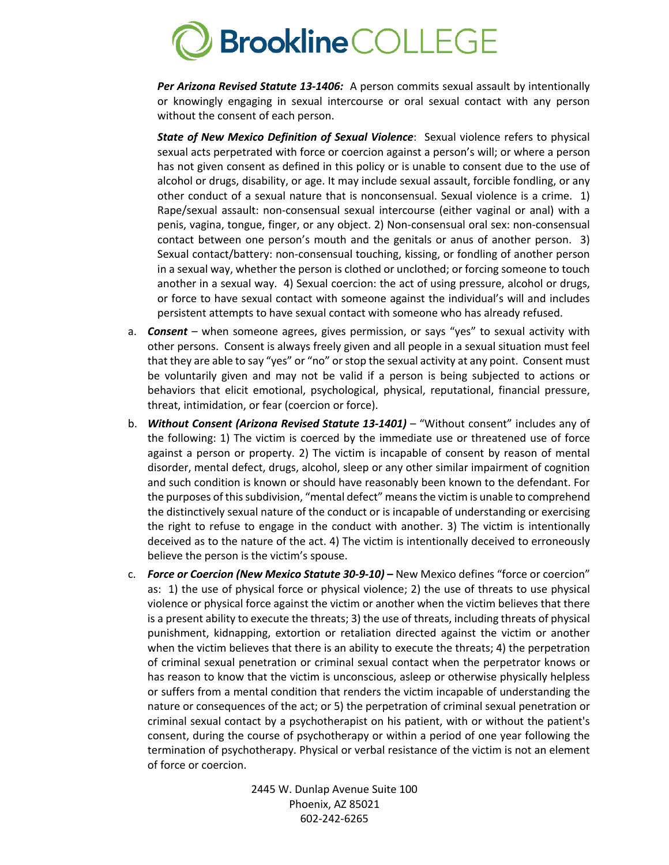

*Per Arizona Revised Statute 13-1406:* A person commits sexual assault by intentionally or knowingly engaging in sexual intercourse or oral sexual contact with any person without the consent of each person.

*State of New Mexico Definition of Sexual Violence*: Sexual violence refers to physical sexual acts perpetrated with force or coercion against a person's will; or where a person has not given consent as defined in this policy or is unable to consent due to the use of alcohol or drugs, disability, or age. It may include sexual assault, forcible fondling, or any other conduct of a sexual nature that is nonconsensual. Sexual violence is a crime. 1) Rape/sexual assault: non-consensual sexual intercourse (either vaginal or anal) with a penis, vagina, tongue, finger, or any object. 2) Non-consensual oral sex: non-consensual contact between one person's mouth and the genitals or anus of another person. 3) Sexual contact/battery: non-consensual touching, kissing, or fondling of another person in a sexual way, whether the person is clothed or unclothed; or forcing someone to touch another in a sexual way. 4) Sexual coercion: the act of using pressure, alcohol or drugs, or force to have sexual contact with someone against the individual's will and includes persistent attempts to have sexual contact with someone who has already refused.

- a. *Consent* when someone agrees, gives permission, or says "yes" to sexual activity with other persons. Consent is always freely given and all people in a sexual situation must feel that they are able to say "yes" or "no" or stop the sexual activity at any point. Consent must be voluntarily given and may not be valid if a person is being subjected to actions or behaviors that elicit emotional, psychological, physical, reputational, financial pressure, threat, intimidation, or fear (coercion or force).
- b. *Without Consent (Arizona Revised Statute 13-1401)* "Without consent" includes any of the following: 1) The victim is coerced by the immediate use or threatened use of force against a person or property. 2) The victim is incapable of consent by reason of mental disorder, mental defect, drugs, alcohol, sleep or any other similar impairment of cognition and such condition is known or should have reasonably been known to the defendant. For the purposes of this subdivision, "mental defect" means the victim is unable to comprehend the distinctively sexual nature of the conduct or is incapable of understanding or exercising the right to refuse to engage in the conduct with another. 3) The victim is intentionally deceived as to the nature of the act. 4) The victim is intentionally deceived to erroneously believe the person is the victim's spouse.
- c. *Force or Coercion (New Mexico Statute 30-9-10) –* New Mexico defines "force or coercion" as: 1) the use of physical force or physical violence; 2) the use of threats to use physical violence or physical force against the victim or another when the victim believes that there is a present ability to execute the threats; 3) the use of threats, including threats of physical punishment, kidnapping, extortion or retaliation directed against the victim or another when the victim believes that there is an ability to execute the threats; 4) the perpetration of criminal sexual penetration or criminal sexual contact when the perpetrator knows or has reason to know that the victim is unconscious, asleep or otherwise physically helpless or suffers from a mental condition that renders the victim incapable of understanding the nature or consequences of the act; or 5) the perpetration of criminal sexual penetration or criminal sexual contact by a psychotherapist on his patient, with or without the patient's consent, during the course of psychotherapy or within a period of one year following the termination of psychotherapy. Physical or verbal resistance of the victim is not an element of force or coercion.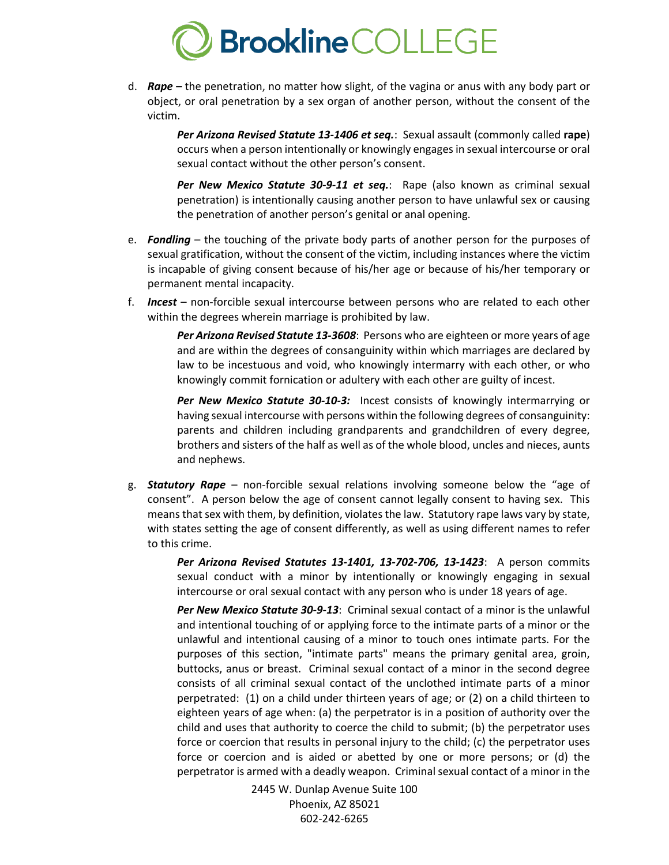

d. *Rape –* the penetration, no matter how slight, of the vagina or anus with any body part or object, or oral penetration by a sex organ of another person, without the consent of the victim.

> *Per Arizona Revised Statute 13-1406 et seq.*: Sexual assault (commonly called **rape**) occurs when a person intentionally or knowingly engagesin sexual intercourse or oral sexual contact without the other person's consent.

> *Per New Mexico Statute 30-9-11 et seq.*: Rape (also known as criminal sexual penetration) is intentionally causing another person to have unlawful sex or causing the penetration of another person's genital or anal opening.

- e. *Fondling* the touching of the private body parts of another person for the purposes of sexual gratification, without the consent of the victim, including instances where the victim is incapable of giving consent because of his/her age or because of his/her temporary or permanent mental incapacity.
- f. *Incest* non-forcible sexual intercourse between persons who are related to each other within the degrees wherein marriage is prohibited by law.

*Per Arizona Revised Statute 13-3608*: Persons who are eighteen or more years of age and are within the degrees of consanguinity within which marriages are declared by law to be incestuous and void, who knowingly intermarry with each other, or who knowingly commit fornication or adultery with each other are guilty of incest.

*Per New Mexico Statute 30-10-3:* Incest consists of knowingly intermarrying or having sexual intercourse with persons within the following degrees of consanguinity: parents and children including grandparents and grandchildren of every degree, brothers and sisters of the half as well as of the whole blood, uncles and nieces, aunts and nephews.

g. *Statutory Rape* – non-forcible sexual relations involving someone below the "age of consent". A person below the age of consent cannot legally consent to having sex. This means that sex with them, by definition, violates the law. Statutory rape laws vary by state, with states setting the age of consent differently, as well as using different names to refer to this crime.

> *Per Arizona Revised Statutes 13-1401, 13-702-706, 13-1423*: A person commits sexual conduct with a minor by intentionally or knowingly engaging in sexual intercourse or oral sexual contact with any person who is under 18 years of age.

> *Per New Mexico Statute 30-9-13*: Criminal sexual contact of a minor is the unlawful and intentional touching of or applying force to the intimate parts of a minor or the unlawful and intentional causing of a minor to touch ones intimate parts. For the purposes of this section, "intimate parts" means the primary genital area, groin, buttocks, anus or breast. Criminal sexual contact of a minor in the second degree consists of all criminal sexual contact of the unclothed intimate parts of a minor perpetrated: (1) on a child under thirteen years of age; or (2) on a child thirteen to eighteen years of age when: (a) the perpetrator is in a position of authority over the child and uses that authority to coerce the child to submit; (b) the perpetrator uses force or coercion that results in personal injury to the child; (c) the perpetrator uses force or coercion and is aided or abetted by one or more persons; or (d) the perpetrator is armed with a deadly weapon. Criminal sexual contact of a minor in the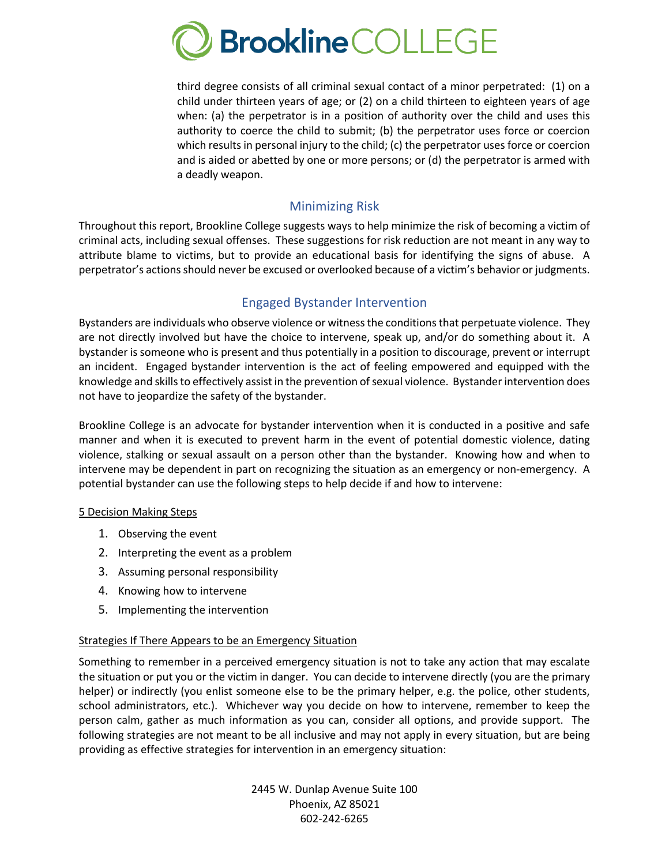

third degree consists of all criminal sexual contact of a minor perpetrated: (1) on a child under thirteen years of age; or (2) on a child thirteen to eighteen years of age when: (a) the perpetrator is in a position of authority over the child and uses this authority to coerce the child to submit; (b) the perpetrator uses force or coercion which results in personal injury to the child; (c) the perpetrator uses force or coercion and is aided or abetted by one or more persons; or (d) the perpetrator is armed with a deadly weapon.

#### Minimizing Risk

Throughout this report, Brookline College suggests ways to help minimize the risk of becoming a victim of criminal acts, including sexual offenses. These suggestions for risk reduction are not meant in any way to attribute blame to victims, but to provide an educational basis for identifying the signs of abuse. A perpetrator's actions should never be excused or overlooked because of a victim's behavior or judgments.

## Engaged Bystander Intervention

Bystanders are individuals who observe violence or witness the conditions that perpetuate violence. They are not directly involved but have the choice to intervene, speak up, and/or do something about it. A bystander is someone who is present and thus potentially in a position to discourage, prevent or interrupt an incident. Engaged bystander intervention is the act of feeling empowered and equipped with the knowledge and skills to effectively assist in the prevention of sexual violence. Bystander intervention does not have to jeopardize the safety of the bystander.

Brookline College is an advocate for bystander intervention when it is conducted in a positive and safe manner and when it is executed to prevent harm in the event of potential domestic violence, dating violence, stalking or sexual assault on a person other than the bystander. Knowing how and when to intervene may be dependent in part on recognizing the situation as an emergency or non-emergency. A potential bystander can use the following steps to help decide if and how to intervene:

#### 5 Decision Making Steps

- 1. Observing the event
- 2. Interpreting the event as a problem
- 3. Assuming personal responsibility
- 4. Knowing how to intervene
- 5. Implementing the intervention

#### Strategies If There Appears to be an Emergency Situation

Something to remember in a perceived emergency situation is not to take any action that may escalate the situation or put you or the victim in danger. You can decide to intervene directly (you are the primary helper) or indirectly (you enlist someone else to be the primary helper, e.g. the police, other students, school administrators, etc.). Whichever way you decide on how to intervene, remember to keep the person calm, gather as much information as you can, consider all options, and provide support. The following strategies are not meant to be all inclusive and may not apply in every situation, but are being providing as effective strategies for intervention in an emergency situation: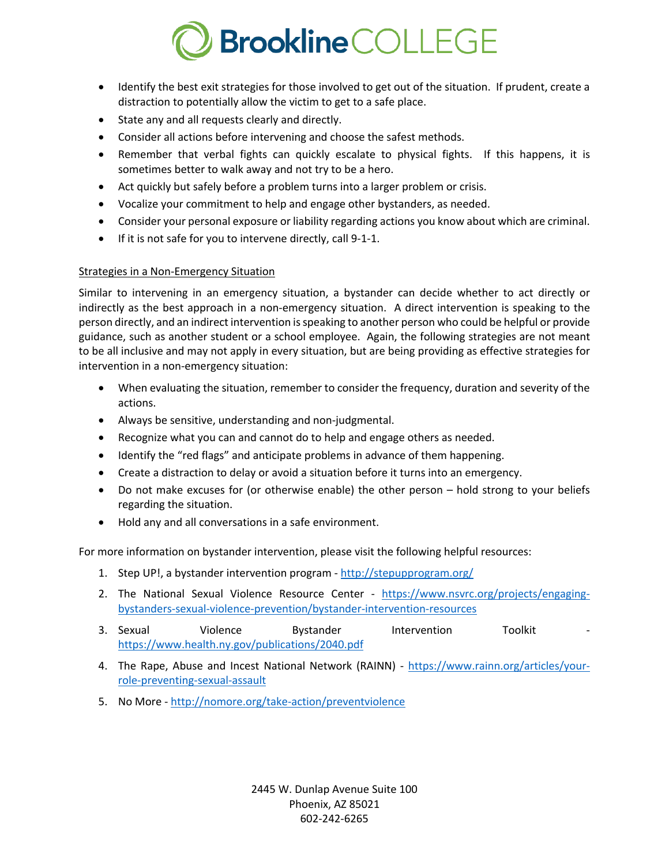# **Brookline** COLLEGE

- Identify the best exit strategies for those involved to get out of the situation. If prudent, create a distraction to potentially allow the victim to get to a safe place.
- State any and all requests clearly and directly.
- Consider all actions before intervening and choose the safest methods.
- Remember that verbal fights can quickly escalate to physical fights. If this happens, it is sometimes better to walk away and not try to be a hero.
- Act quickly but safely before a problem turns into a larger problem or crisis.
- Vocalize your commitment to help and engage other bystanders, as needed.
- Consider your personal exposure or liability regarding actions you know about which are criminal.
- If it is not safe for you to intervene directly, call 9-1-1.

#### Strategies in a Non-Emergency Situation

Similar to intervening in an emergency situation, a bystander can decide whether to act directly or indirectly as the best approach in a non-emergency situation. A direct intervention is speaking to the person directly, and an indirect intervention is speaking to another person who could be helpful or provide guidance, such as another student or a school employee. Again, the following strategies are not meant to be all inclusive and may not apply in every situation, but are being providing as effective strategies for intervention in a non-emergency situation:

- When evaluating the situation, remember to consider the frequency, duration and severity of the actions.
- Always be sensitive, understanding and non-judgmental.
- Recognize what you can and cannot do to help and engage others as needed.
- Identify the "red flags" and anticipate problems in advance of them happening.
- Create a distraction to delay or avoid a situation before it turns into an emergency.
- Do not make excuses for (or otherwise enable) the other person hold strong to your beliefs regarding the situation.
- Hold any and all conversations in a safe environment.

For more information on bystander intervention, please visit the following helpful resources:

- 1. Step UP!, a bystander intervention program http://stepupprogram.org/
- 2. The National Sexual Violence Resource Center https://www.nsvrc.org/projects/engagingbystanders-sexual-violence-prevention/bystander-intervention-resources
- 3. Sexual violence bystander Intervention Toolkit https://www.health.ny.gov/publications/2040.pdf
- 4. The Rape, Abuse and Incest National Network (RAINN) https://www.rainn.org/articles/yourrole-preventing-sexual-assault
- 5. No More http://nomore.org/take-action/preventviolence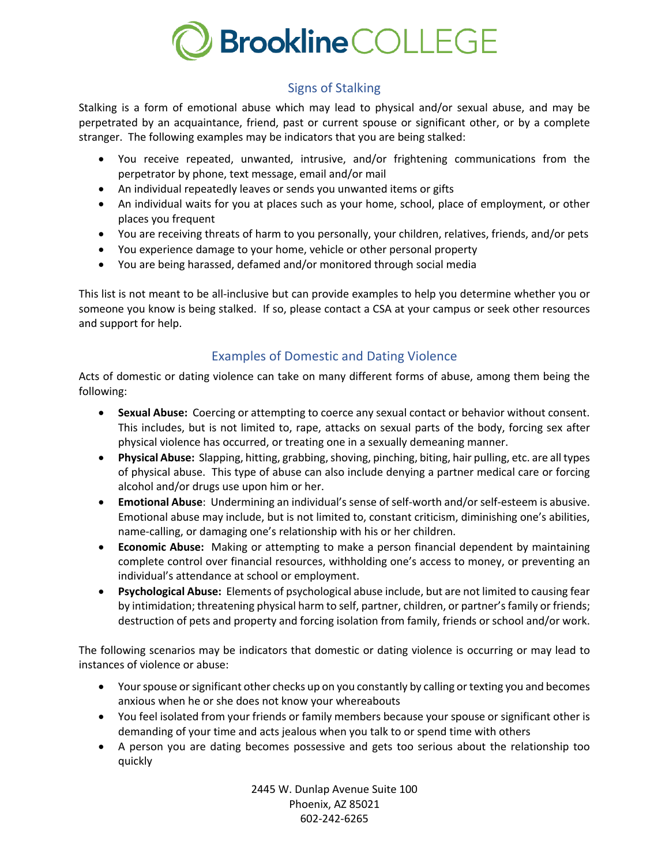

# Signs of Stalking

Stalking is a form of emotional abuse which may lead to physical and/or sexual abuse, and may be perpetrated by an acquaintance, friend, past or current spouse or significant other, or by a complete stranger. The following examples may be indicators that you are being stalked:

- You receive repeated, unwanted, intrusive, and/or frightening communications from the perpetrator by phone, text message, email and/or mail
- An individual repeatedly leaves or sends you unwanted items or gifts
- An individual waits for you at places such as your home, school, place of employment, or other places you frequent
- You are receiving threats of harm to you personally, your children, relatives, friends, and/or pets
- You experience damage to your home, vehicle or other personal property
- You are being harassed, defamed and/or monitored through social media

This list is not meant to be all-inclusive but can provide examples to help you determine whether you or someone you know is being stalked. If so, please contact a CSA at your campus or seek other resources and support for help.

# Examples of Domestic and Dating Violence

Acts of domestic or dating violence can take on many different forms of abuse, among them being the following:

- **Sexual Abuse:** Coercing or attempting to coerce any sexual contact or behavior without consent. This includes, but is not limited to, rape, attacks on sexual parts of the body, forcing sex after physical violence has occurred, or treating one in a sexually demeaning manner.
- **Physical Abuse:** Slapping, hitting, grabbing, shoving, pinching, biting, hair pulling, etc. are all types of physical abuse. This type of abuse can also include denying a partner medical care or forcing alcohol and/or drugs use upon him or her.
- **Emotional Abuse**: Undermining an individual's sense of self-worth and/or self-esteem is abusive. Emotional abuse may include, but is not limited to, constant criticism, diminishing one's abilities, name-calling, or damaging one's relationship with his or her children.
- **Economic Abuse:** Making or attempting to make a person financial dependent by maintaining complete control over financial resources, withholding one's access to money, or preventing an individual's attendance at school or employment.
- **Psychological Abuse:** Elements of psychological abuse include, but are not limited to causing fear by intimidation; threatening physical harm to self, partner, children, or partner's family or friends; destruction of pets and property and forcing isolation from family, friends or school and/or work.

The following scenarios may be indicators that domestic or dating violence is occurring or may lead to instances of violence or abuse:

- Your spouse or significant other checks up on you constantly by calling or texting you and becomes anxious when he or she does not know your whereabouts
- You feel isolated from your friends or family members because your spouse or significant other is demanding of your time and acts jealous when you talk to or spend time with others
- A person you are dating becomes possessive and gets too serious about the relationship too quickly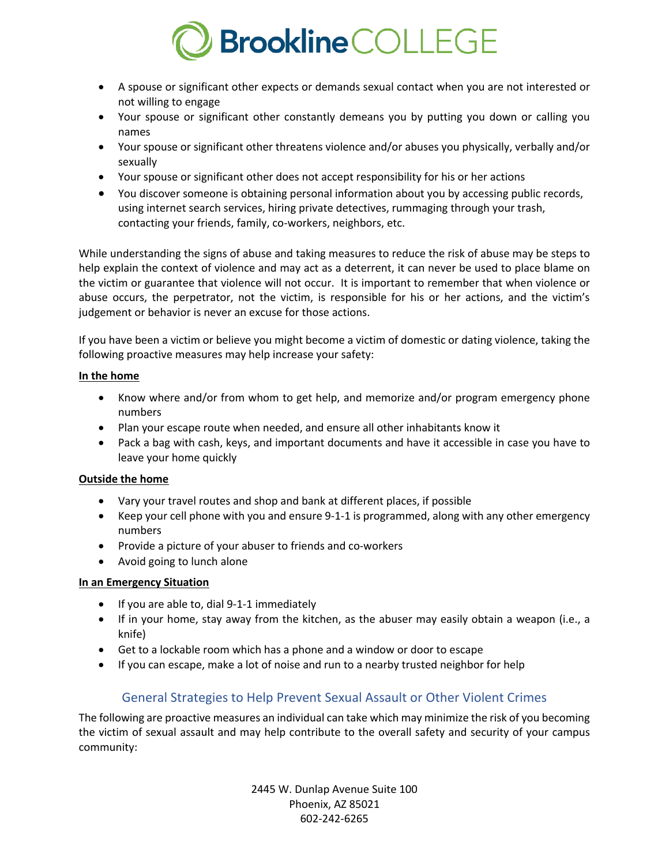

- A spouse or significant other expects or demands sexual contact when you are not interested or not willing to engage
- Your spouse or significant other constantly demeans you by putting you down or calling you names
- Your spouse or significant other threatens violence and/or abuses you physically, verbally and/or sexually
- Your spouse or significant other does not accept responsibility for his or her actions
- You discover someone is obtaining personal information about you by accessing public records, using internet search services, hiring private detectives, rummaging through your trash, contacting your friends, family, co-workers, neighbors, etc.

While understanding the signs of abuse and taking measures to reduce the risk of abuse may be steps to help explain the context of violence and may act as a deterrent, it can never be used to place blame on the victim or guarantee that violence will not occur. It is important to remember that when violence or abuse occurs, the perpetrator, not the victim, is responsible for his or her actions, and the victim's judgement or behavior is never an excuse for those actions.

If you have been a victim or believe you might become a victim of domestic or dating violence, taking the following proactive measures may help increase your safety:

#### **In the home**

- Know where and/or from whom to get help, and memorize and/or program emergency phone numbers
- Plan your escape route when needed, and ensure all other inhabitants know it
- Pack a bag with cash, keys, and important documents and have it accessible in case you have to leave your home quickly

#### **Outside the home**

- Vary your travel routes and shop and bank at different places, if possible
- Keep your cell phone with you and ensure 9-1-1 is programmed, along with any other emergency numbers
- Provide a picture of your abuser to friends and co-workers
- Avoid going to lunch alone

#### **In an Emergency Situation**

- If you are able to, dial 9-1-1 immediately
- If in your home, stay away from the kitchen, as the abuser may easily obtain a weapon (i.e., a knife)
- Get to a lockable room which has a phone and a window or door to escape
- If you can escape, make a lot of noise and run to a nearby trusted neighbor for help

## General Strategies to Help Prevent Sexual Assault or Other Violent Crimes

The following are proactive measures an individual can take which may minimize the risk of you becoming the victim of sexual assault and may help contribute to the overall safety and security of your campus community: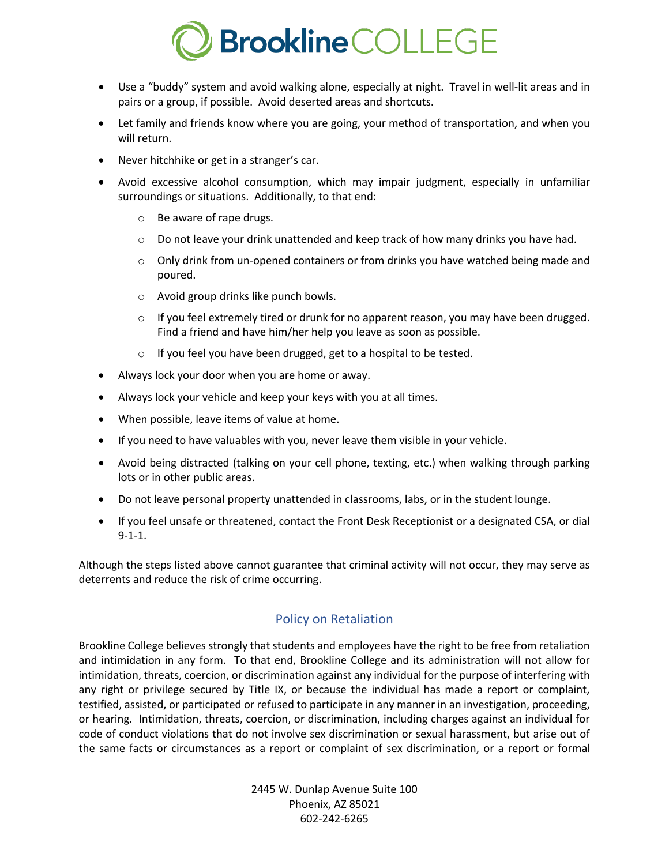

- Use a "buddy" system and avoid walking alone, especially at night. Travel in well-lit areas and in pairs or a group, if possible. Avoid deserted areas and shortcuts.
- Let family and friends know where you are going, your method of transportation, and when you will return.
- Never hitchhike or get in a stranger's car.
- Avoid excessive alcohol consumption, which may impair judgment, especially in unfamiliar surroundings or situations. Additionally, to that end:
	- o Be aware of rape drugs.
	- $\circ$  Do not leave your drink unattended and keep track of how many drinks you have had.
	- $\circ$  Only drink from un-opened containers or from drinks you have watched being made and poured.
	- o Avoid group drinks like punch bowls.
	- $\circ$  If you feel extremely tired or drunk for no apparent reason, you may have been drugged. Find a friend and have him/her help you leave as soon as possible.
	- o If you feel you have been drugged, get to a hospital to be tested.
- Always lock your door when you are home or away.
- Always lock your vehicle and keep your keys with you at all times.
- When possible, leave items of value at home.
- If you need to have valuables with you, never leave them visible in your vehicle.
- Avoid being distracted (talking on your cell phone, texting, etc.) when walking through parking lots or in other public areas.
- Do not leave personal property unattended in classrooms, labs, or in the student lounge.
- If you feel unsafe or threatened, contact the Front Desk Receptionist or a designated CSA, or dial 9-1-1.

Although the steps listed above cannot guarantee that criminal activity will not occur, they may serve as deterrents and reduce the risk of crime occurring.

## Policy on Retaliation

Brookline College believes strongly that students and employees have the right to be free from retaliation and intimidation in any form. To that end, Brookline College and its administration will not allow for intimidation, threats, coercion, or discrimination against any individual for the purpose of interfering with any right or privilege secured by Title IX, or because the individual has made a report or complaint, testified, assisted, or participated or refused to participate in any manner in an investigation, proceeding, or hearing. Intimidation, threats, coercion, or discrimination, including charges against an individual for code of conduct violations that do not involve sex discrimination or sexual harassment, but arise out of the same facts or circumstances as a report or complaint of sex discrimination, or a report or formal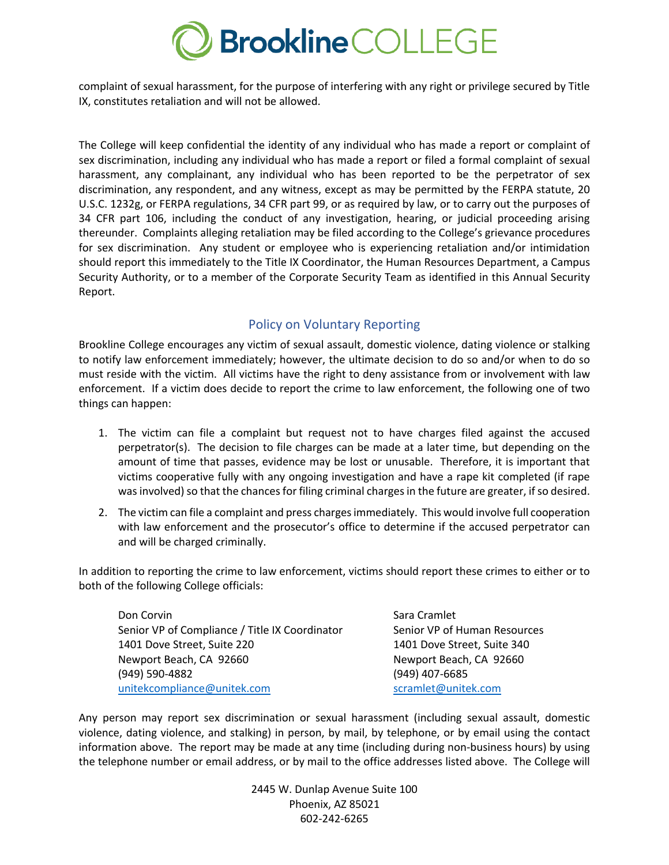

complaint of sexual harassment, for the purpose of interfering with any right or privilege secured by Title IX, constitutes retaliation and will not be allowed.

The College will keep confidential the identity of any individual who has made a report or complaint of sex discrimination, including any individual who has made a report or filed a formal complaint of sexual harassment, any complainant, any individual who has been reported to be the perpetrator of sex discrimination, any respondent, and any witness, except as may be permitted by the FERPA statute, 20 U.S.C. 1232g, or FERPA regulations, 34 CFR part 99, or as required by law, or to carry out the purposes of 34 CFR part 106, including the conduct of any investigation, hearing, or judicial proceeding arising thereunder. Complaints alleging retaliation may be filed according to the College's grievance procedures for sex discrimination. Any student or employee who is experiencing retaliation and/or intimidation should report this immediately to the Title IX Coordinator, the Human Resources Department, a Campus Security Authority, or to a member of the Corporate Security Team as identified in this Annual Security Report.

# Policy on Voluntary Reporting

Brookline College encourages any victim of sexual assault, domestic violence, dating violence or stalking to notify law enforcement immediately; however, the ultimate decision to do so and/or when to do so must reside with the victim. All victims have the right to deny assistance from or involvement with law enforcement. If a victim does decide to report the crime to law enforcement, the following one of two things can happen:

- 1. The victim can file a complaint but request not to have charges filed against the accused perpetrator(s). The decision to file charges can be made at a later time, but depending on the amount of time that passes, evidence may be lost or unusable. Therefore, it is important that victims cooperative fully with any ongoing investigation and have a rape kit completed (if rape was involved) so that the chances for filing criminal charges in the future are greater, if so desired.
- 2. The victim can file a complaint and press charges immediately. This would involve full cooperation with law enforcement and the prosecutor's office to determine if the accused perpetrator can and will be charged criminally.

In addition to reporting the crime to law enforcement, victims should report these crimes to either or to both of the following College officials:

Don Corvin **Sara Cramlet** Sara Cramlet **Sara Cramlet** Senior VP of Compliance / Title IX Coordinator Senior VP of Human Resources 1401 Dove Street, Suite 220 1401 Dove Street, Suite 340 Newport Beach, CA 92660 Newport Beach, CA 92660 (949) 590-4882 (949) 407-6685 unitekcompliance@unitek.com scramlet@unitek.com

Any person may report sex discrimination or sexual harassment (including sexual assault, domestic violence, dating violence, and stalking) in person, by mail, by telephone, or by email using the contact information above. The report may be made at any time (including during non-business hours) by using the telephone number or email address, or by mail to the office addresses listed above. The College will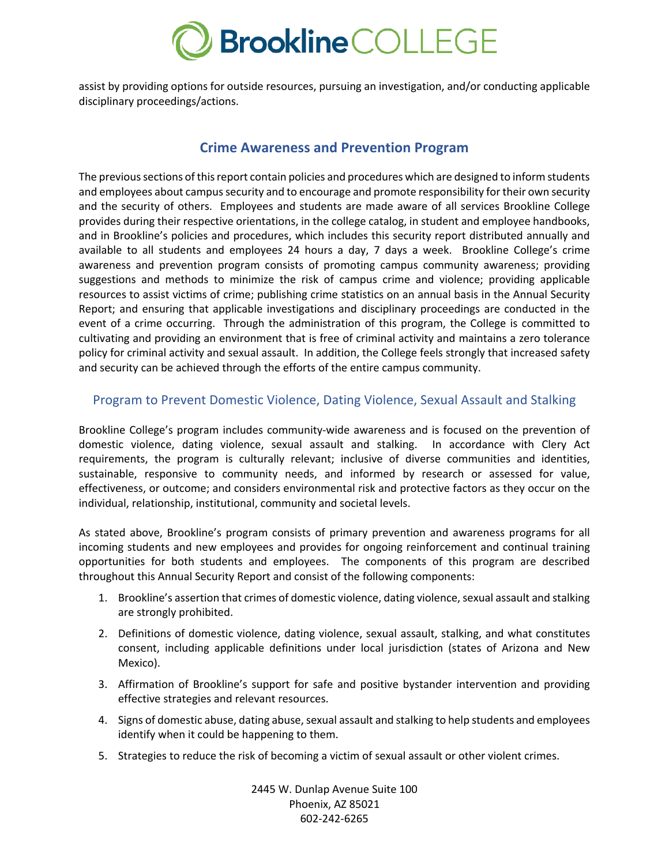

assist by providing options for outside resources, pursuing an investigation, and/or conducting applicable disciplinary proceedings/actions.

#### **Crime Awareness and Prevention Program**

The previous sections of this report contain policies and procedures which are designed to inform students and employees about campus security and to encourage and promote responsibility for their own security and the security of others. Employees and students are made aware of all services Brookline College provides during their respective orientations, in the college catalog, in student and employee handbooks, and in Brookline's policies and procedures, which includes this security report distributed annually and available to all students and employees 24 hours a day, 7 days a week. Brookline College's crime awareness and prevention program consists of promoting campus community awareness; providing suggestions and methods to minimize the risk of campus crime and violence; providing applicable resources to assist victims of crime; publishing crime statistics on an annual basis in the Annual Security Report; and ensuring that applicable investigations and disciplinary proceedings are conducted in the event of a crime occurring. Through the administration of this program, the College is committed to cultivating and providing an environment that is free of criminal activity and maintains a zero tolerance policy for criminal activity and sexual assault. In addition, the College feels strongly that increased safety and security can be achieved through the efforts of the entire campus community.

#### Program to Prevent Domestic Violence, Dating Violence, Sexual Assault and Stalking

Brookline College's program includes community-wide awareness and is focused on the prevention of domestic violence, dating violence, sexual assault and stalking. In accordance with Clery Act requirements, the program is culturally relevant; inclusive of diverse communities and identities, sustainable, responsive to community needs, and informed by research or assessed for value, effectiveness, or outcome; and considers environmental risk and protective factors as they occur on the individual, relationship, institutional, community and societal levels.

As stated above, Brookline's program consists of primary prevention and awareness programs for all incoming students and new employees and provides for ongoing reinforcement and continual training opportunities for both students and employees. The components of this program are described throughout this Annual Security Report and consist of the following components:

- 1. Brookline's assertion that crimes of domestic violence, dating violence, sexual assault and stalking are strongly prohibited.
- 2. Definitions of domestic violence, dating violence, sexual assault, stalking, and what constitutes consent, including applicable definitions under local jurisdiction (states of Arizona and New Mexico).
- 3. Affirmation of Brookline's support for safe and positive bystander intervention and providing effective strategies and relevant resources.
- 4. Signs of domestic abuse, dating abuse, sexual assault and stalking to help students and employees identify when it could be happening to them.
- 5. Strategies to reduce the risk of becoming a victim of sexual assault or other violent crimes.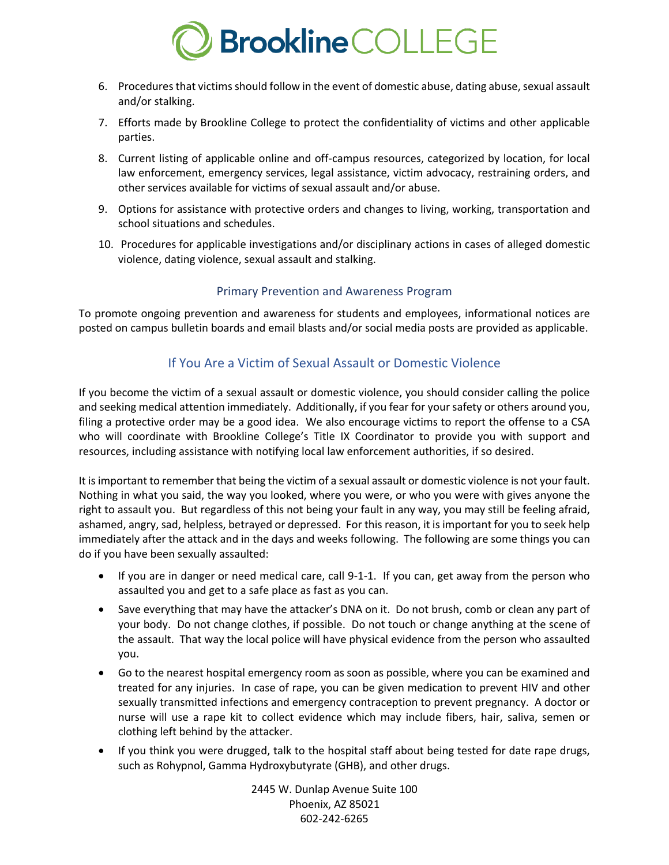

- 6. Procedures that victims should follow in the event of domestic abuse, dating abuse, sexual assault and/or stalking.
- 7. Efforts made by Brookline College to protect the confidentiality of victims and other applicable parties.
- 8. Current listing of applicable online and off-campus resources, categorized by location, for local law enforcement, emergency services, legal assistance, victim advocacy, restraining orders, and other services available for victims of sexual assault and/or abuse.
- 9. Options for assistance with protective orders and changes to living, working, transportation and school situations and schedules.
- 10. Procedures for applicable investigations and/or disciplinary actions in cases of alleged domestic violence, dating violence, sexual assault and stalking.

#### Primary Prevention and Awareness Program

To promote ongoing prevention and awareness for students and employees, informational notices are posted on campus bulletin boards and email blasts and/or social media posts are provided as applicable.

## If You Are a Victim of Sexual Assault or Domestic Violence

If you become the victim of a sexual assault or domestic violence, you should consider calling the police and seeking medical attention immediately. Additionally, if you fear for your safety or others around you, filing a protective order may be a good idea. We also encourage victims to report the offense to a CSA who will coordinate with Brookline College's Title IX Coordinator to provide you with support and resources, including assistance with notifying local law enforcement authorities, if so desired.

It is important to remember that being the victim of a sexual assault or domestic violence is not your fault. Nothing in what you said, the way you looked, where you were, or who you were with gives anyone the right to assault you. But regardless of this not being your fault in any way, you may still be feeling afraid, ashamed, angry, sad, helpless, betrayed or depressed. For this reason, it is important for you to seek help immediately after the attack and in the days and weeks following. The following are some things you can do if you have been sexually assaulted:

- If you are in danger or need medical care, call 9-1-1. If you can, get away from the person who assaulted you and get to a safe place as fast as you can.
- Save everything that may have the attacker's DNA on it. Do not brush, comb or clean any part of your body. Do not change clothes, if possible. Do not touch or change anything at the scene of the assault. That way the local police will have physical evidence from the person who assaulted you.
- Go to the nearest hospital emergency room as soon as possible, where you can be examined and treated for any injuries. In case of rape, you can be given medication to prevent HIV and other sexually transmitted infections and emergency contraception to prevent pregnancy. A doctor or nurse will use a rape kit to collect evidence which may include fibers, hair, saliva, semen or clothing left behind by the attacker.
- If you think you were drugged, talk to the hospital staff about being tested for date rape drugs, such as Rohypnol, Gamma Hydroxybutyrate (GHB), and other drugs.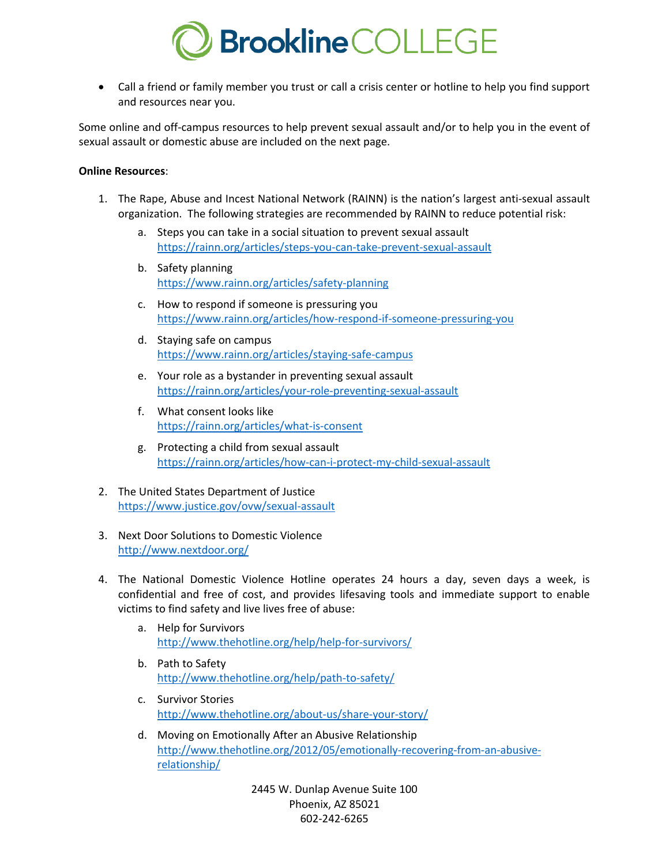

• Call a friend or family member you trust or call a crisis center or hotline to help you find support and resources near you.

Some online and off-campus resources to help prevent sexual assault and/or to help you in the event of sexual assault or domestic abuse are included on the next page.

#### **Online Resources**:

- 1. The Rape, Abuse and Incest National Network (RAINN) is the nation's largest anti-sexual assault organization. The following strategies are recommended by RAINN to reduce potential risk:
	- a. Steps you can take in a social situation to prevent sexual assault https://rainn.org/articles/steps-you-can-take-prevent-sexual-assault
	- b. Safety planning https://www.rainn.org/articles/safety-planning
	- c. How to respond if someone is pressuring you https://www.rainn.org/articles/how-respond-if-someone-pressuring-you
	- d. Staying safe on campus https://www.rainn.org/articles/staying-safe-campus
	- e. Your role as a bystander in preventing sexual assault https://rainn.org/articles/your-role-preventing-sexual-assault
	- f. What consent looks like https://rainn.org/articles/what-is-consent
	- g. Protecting a child from sexual assault https://rainn.org/articles/how-can-i-protect-my-child-sexual-assault
- 2. The United States Department of Justice https://www.justice.gov/ovw/sexual-assault
- 3. Next Door Solutions to Domestic Violence http://www.nextdoor.org/
- 4. The National Domestic Violence Hotline operates 24 hours a day, seven days a week, is confidential and free of cost, and provides lifesaving tools and immediate support to enable victims to find safety and live lives free of abuse:
	- a. Help for Survivors http://www.thehotline.org/help/help-for-survivors/
	- b. Path to Safety http://www.thehotline.org/help/path-to-safety/
	- c. Survivor Stories http://www.thehotline.org/about-us/share-your-story/
	- d. Moving on Emotionally After an Abusive Relationship http://www.thehotline.org/2012/05/emotionally-recovering-from-an-abusiverelationship/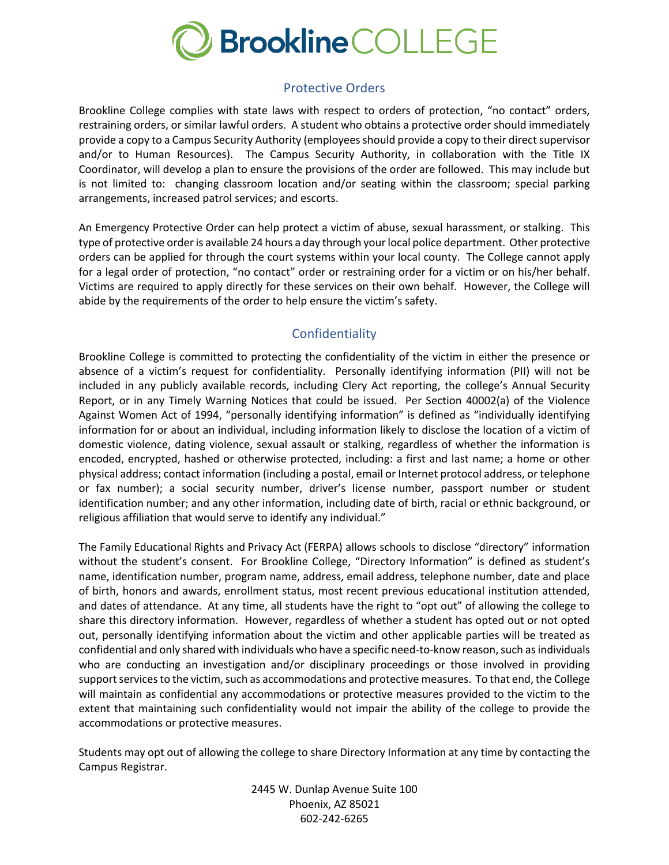

## Protective Orders

Brookline College complies with state laws with respect to orders of protection, "no contact" orders, restraining orders, or similar lawful orders. A student who obtains a protective order should immediately provide a copy to a Campus Security Authority (employeesshould provide a copy to their direct supervisor and/or to Human Resources). The Campus Security Authority, in collaboration with the Title IX Coordinator, will develop a plan to ensure the provisions of the order are followed. This may include but is not limited to: changing classroom location and/or seating within the classroom; special parking arrangements, increased patrol services; and escorts.

An Emergency Protective Order can help protect a victim of abuse, sexual harassment, or stalking. This type of protective order is available 24 hours a day through your local police department. Other protective orders can be applied for through the court systems within your local county. The College cannot apply for a legal order of protection, "no contact" order or restraining order for a victim or on his/her behalf. Victims are required to apply directly for these services on their own behalf. However, the College will abide by the requirements of the order to help ensure the victim's safety.

# Confidentiality

Brookline College is committed to protecting the confidentiality of the victim in either the presence or absence of a victim's request for confidentiality. Personally identifying information (PII) will not be included in any publicly available records, including Clery Act reporting, the college's Annual Security Report, or in any Timely Warning Notices that could be issued. Per Section 40002(a) of the Violence Against Women Act of 1994, "personally identifying information" is defined as "individually identifying information for or about an individual, including information likely to disclose the location of a victim of domestic violence, dating violence, sexual assault or stalking, regardless of whether the information is encoded, encrypted, hashed or otherwise protected, including: a first and last name; a home or other physical address; contact information (including a postal, email or Internet protocol address, or telephone or fax number); a social security number, driver's license number, passport number or student identification number; and any other information, including date of birth, racial or ethnic background, or religious affiliation that would serve to identify any individual."

The Family Educational Rights and Privacy Act (FERPA) allows schools to disclose "directory" information without the student's consent. For Brookline College, "Directory Information" is defined as student's name, identification number, program name, address, email address, telephone number, date and place of birth, honors and awards, enrollment status, most recent previous educational institution attended, and dates of attendance. At any time, all students have the right to "opt out" of allowing the college to share this directory information. However, regardless of whether a student has opted out or not opted out, personally identifying information about the victim and other applicable parties will be treated as confidential and only shared with individuals who have a specific need-to-know reason, such as individuals who are conducting an investigation and/or disciplinary proceedings or those involved in providing support services to the victim, such as accommodations and protective measures. To that end, the College will maintain as confidential any accommodations or protective measures provided to the victim to the extent that maintaining such confidentiality would not impair the ability of the college to provide the accommodations or protective measures.

Students may opt out of allowing the college to share Directory Information at any time by contacting the Campus Registrar.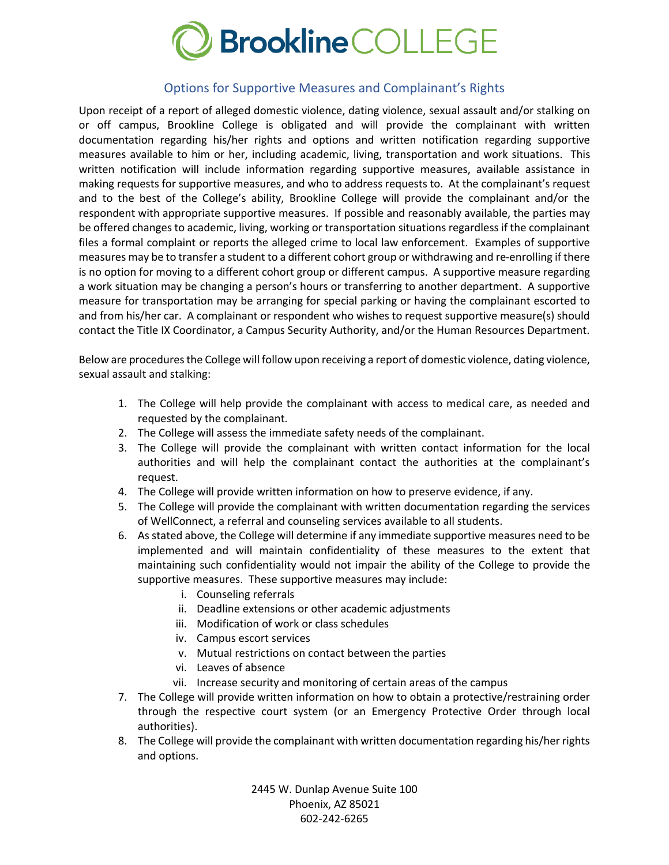

#### Options for Supportive Measures and Complainant's Rights

Upon receipt of a report of alleged domestic violence, dating violence, sexual assault and/or stalking on or off campus, Brookline College is obligated and will provide the complainant with written documentation regarding his/her rights and options and written notification regarding supportive measures available to him or her, including academic, living, transportation and work situations. This written notification will include information regarding supportive measures, available assistance in making requests for supportive measures, and who to address requests to. At the complainant's request and to the best of the College's ability, Brookline College will provide the complainant and/or the respondent with appropriate supportive measures. If possible and reasonably available, the parties may be offered changes to academic, living, working or transportation situations regardless if the complainant files a formal complaint or reports the alleged crime to local law enforcement. Examples of supportive measures may be to transfer a student to a different cohort group or withdrawing and re-enrolling if there is no option for moving to a different cohort group or different campus. A supportive measure regarding a work situation may be changing a person's hours or transferring to another department. A supportive measure for transportation may be arranging for special parking or having the complainant escorted to and from his/her car. A complainant or respondent who wishes to request supportive measure(s) should contact the Title IX Coordinator, a Campus Security Authority, and/or the Human Resources Department.

Below are procedures the College will follow upon receiving a report of domestic violence, dating violence, sexual assault and stalking:

- 1. The College will help provide the complainant with access to medical care, as needed and requested by the complainant.
- 2. The College will assess the immediate safety needs of the complainant.
- 3. The College will provide the complainant with written contact information for the local authorities and will help the complainant contact the authorities at the complainant's request.
- 4. The College will provide written information on how to preserve evidence, if any.
- 5. The College will provide the complainant with written documentation regarding the services of WellConnect, a referral and counseling services available to all students.
- 6. As stated above, the College will determine if any immediate supportive measures need to be implemented and will maintain confidentiality of these measures to the extent that maintaining such confidentiality would not impair the ability of the College to provide the supportive measures. These supportive measures may include:
	- i. Counseling referrals
	- ii. Deadline extensions or other academic adjustments
	- iii. Modification of work or class schedules
	- iv. Campus escort services
	- v. Mutual restrictions on contact between the parties
	- vi. Leaves of absence
	- vii. Increase security and monitoring of certain areas of the campus
- 7. The College will provide written information on how to obtain a protective/restraining order through the respective court system (or an Emergency Protective Order through local authorities).
- 8. The College will provide the complainant with written documentation regarding his/her rights and options.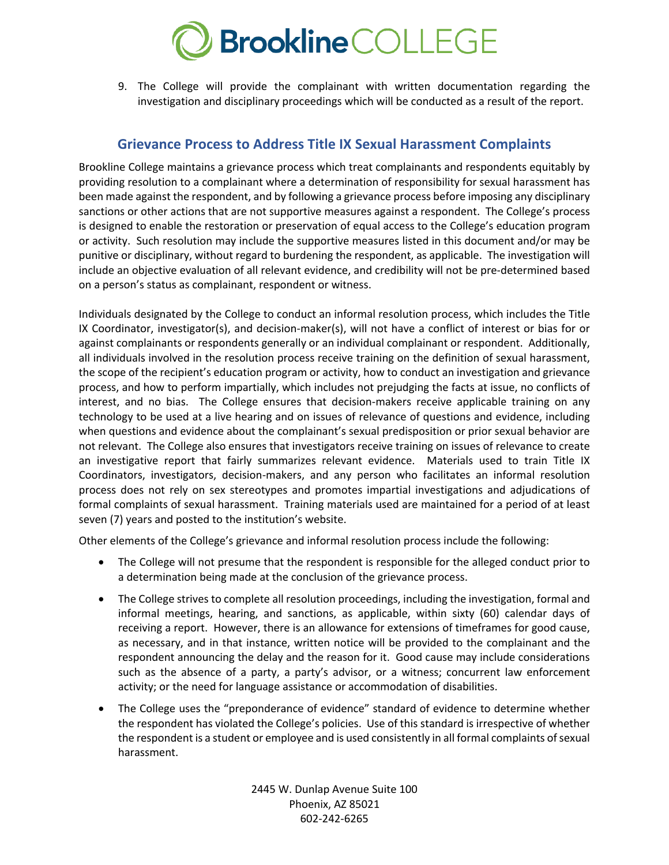

9. The College will provide the complainant with written documentation regarding the investigation and disciplinary proceedings which will be conducted as a result of the report.

# **Grievance Process to Address Title IX Sexual Harassment Complaints**

Brookline College maintains a grievance process which treat complainants and respondents equitably by providing resolution to a complainant where a determination of responsibility for sexual harassment has been made against the respondent, and by following a grievance process before imposing any disciplinary sanctions or other actions that are not supportive measures against a respondent. The College's process is designed to enable the restoration or preservation of equal access to the College's education program or activity. Such resolution may include the supportive measures listed in this document and/or may be punitive or disciplinary, without regard to burdening the respondent, as applicable. The investigation will include an objective evaluation of all relevant evidence, and credibility will not be pre-determined based on a person's status as complainant, respondent or witness.

Individuals designated by the College to conduct an informal resolution process, which includes the Title IX Coordinator, investigator(s), and decision-maker(s), will not have a conflict of interest or bias for or against complainants or respondents generally or an individual complainant or respondent. Additionally, all individuals involved in the resolution process receive training on the definition of sexual harassment, the scope of the recipient's education program or activity, how to conduct an investigation and grievance process, and how to perform impartially, which includes not prejudging the facts at issue, no conflicts of interest, and no bias. The College ensures that decision-makers receive applicable training on any technology to be used at a live hearing and on issues of relevance of questions and evidence, including when questions and evidence about the complainant's sexual predisposition or prior sexual behavior are not relevant. The College also ensures that investigators receive training on issues of relevance to create an investigative report that fairly summarizes relevant evidence. Materials used to train Title IX Coordinators, investigators, decision-makers, and any person who facilitates an informal resolution process does not rely on sex stereotypes and promotes impartial investigations and adjudications of formal complaints of sexual harassment. Training materials used are maintained for a period of at least seven (7) years and posted to the institution's website.

Other elements of the College's grievance and informal resolution process include the following:

- The College will not presume that the respondent is responsible for the alleged conduct prior to a determination being made at the conclusion of the grievance process.
- The College strives to complete all resolution proceedings, including the investigation, formal and informal meetings, hearing, and sanctions, as applicable, within sixty (60) calendar days of receiving a report. However, there is an allowance for extensions of timeframes for good cause, as necessary, and in that instance, written notice will be provided to the complainant and the respondent announcing the delay and the reason for it. Good cause may include considerations such as the absence of a party, a party's advisor, or a witness; concurrent law enforcement activity; or the need for language assistance or accommodation of disabilities.
- The College uses the "preponderance of evidence" standard of evidence to determine whether the respondent has violated the College's policies. Use of this standard is irrespective of whether the respondent is a student or employee and is used consistently in all formal complaints of sexual harassment.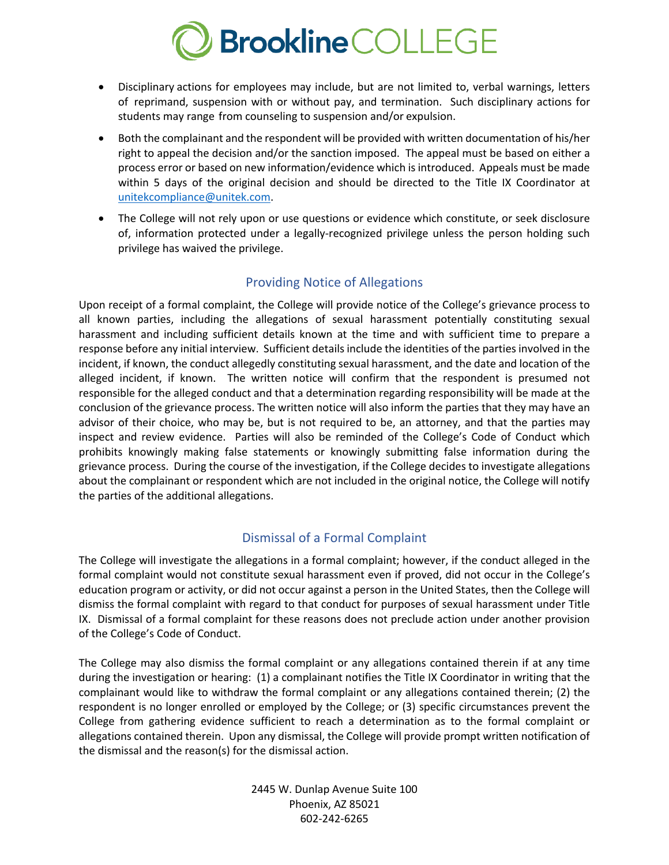

- Disciplinary actions for employees may include, but are not limited to, verbal warnings, letters of reprimand, suspension with or without pay, and termination. Such disciplinary actions for students may range from counseling to suspension and/or expulsion.
- Both the complainant and the respondent will be provided with written documentation of his/her right to appeal the decision and/or the sanction imposed. The appeal must be based on either a process error or based on new information/evidence which is introduced. Appeals must be made within 5 days of the original decision and should be directed to the Title IX Coordinator at unitekcompliance@unitek.com.
- The College will not rely upon or use questions or evidence which constitute, or seek disclosure of, information protected under a legally-recognized privilege unless the person holding such privilege has waived the privilege.

# Providing Notice of Allegations

Upon receipt of a formal complaint, the College will provide notice of the College's grievance process to all known parties, including the allegations of sexual harassment potentially constituting sexual harassment and including sufficient details known at the time and with sufficient time to prepare a response before any initial interview. Sufficient details include the identities of the parties involved in the incident, if known, the conduct allegedly constituting sexual harassment, and the date and location of the alleged incident, if known. The written notice will confirm that the respondent is presumed not responsible for the alleged conduct and that a determination regarding responsibility will be made at the conclusion of the grievance process. The written notice will also inform the parties that they may have an advisor of their choice, who may be, but is not required to be, an attorney, and that the parties may inspect and review evidence. Parties will also be reminded of the College's Code of Conduct which prohibits knowingly making false statements or knowingly submitting false information during the grievance process. During the course of the investigation, if the College decides to investigate allegations about the complainant or respondent which are not included in the original notice, the College will notify the parties of the additional allegations.

# Dismissal of a Formal Complaint

The College will investigate the allegations in a formal complaint; however, if the conduct alleged in the formal complaint would not constitute sexual harassment even if proved, did not occur in the College's education program or activity, or did not occur against a person in the United States, then the College will dismiss the formal complaint with regard to that conduct for purposes of sexual harassment under Title IX. Dismissal of a formal complaint for these reasons does not preclude action under another provision of the College's Code of Conduct.

The College may also dismiss the formal complaint or any allegations contained therein if at any time during the investigation or hearing: (1) a complainant notifies the Title IX Coordinator in writing that the complainant would like to withdraw the formal complaint or any allegations contained therein; (2) the respondent is no longer enrolled or employed by the College; or (3) specific circumstances prevent the College from gathering evidence sufficient to reach a determination as to the formal complaint or allegations contained therein. Upon any dismissal, the College will provide prompt written notification of the dismissal and the reason(s) for the dismissal action.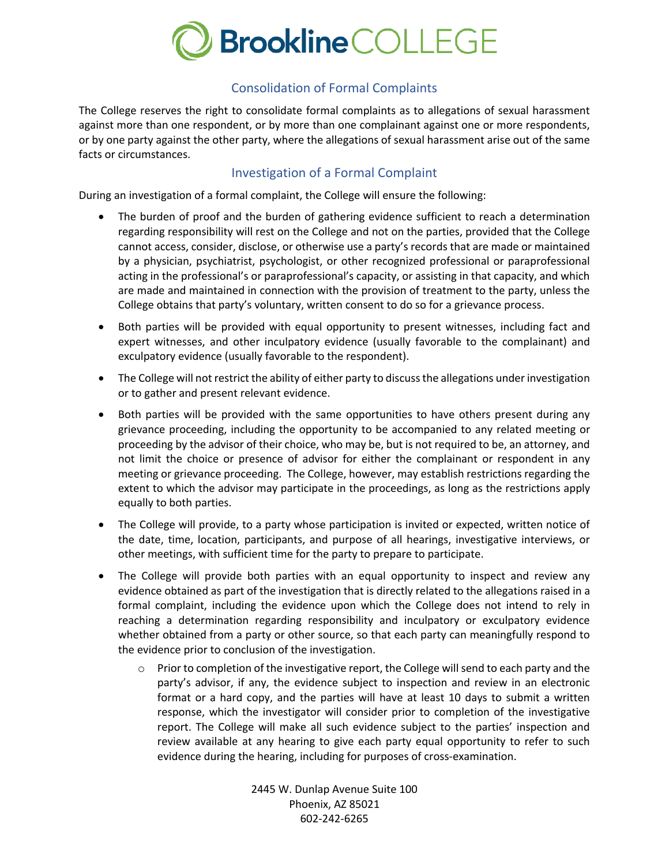

# Consolidation of Formal Complaints

The College reserves the right to consolidate formal complaints as to allegations of sexual harassment against more than one respondent, or by more than one complainant against one or more respondents, or by one party against the other party, where the allegations of sexual harassment arise out of the same facts or circumstances.

#### Investigation of a Formal Complaint

During an investigation of a formal complaint, the College will ensure the following:

- The burden of proof and the burden of gathering evidence sufficient to reach a determination regarding responsibility will rest on the College and not on the parties, provided that the College cannot access, consider, disclose, or otherwise use a party's records that are made or maintained by a physician, psychiatrist, psychologist, or other recognized professional or paraprofessional acting in the professional's or paraprofessional's capacity, or assisting in that capacity, and which are made and maintained in connection with the provision of treatment to the party, unless the College obtains that party's voluntary, written consent to do so for a grievance process.
- Both parties will be provided with equal opportunity to present witnesses, including fact and expert witnesses, and other inculpatory evidence (usually favorable to the complainant) and exculpatory evidence (usually favorable to the respondent).
- The College will not restrict the ability of either party to discuss the allegations under investigation or to gather and present relevant evidence.
- Both parties will be provided with the same opportunities to have others present during any grievance proceeding, including the opportunity to be accompanied to any related meeting or proceeding by the advisor of their choice, who may be, but is not required to be, an attorney, and not limit the choice or presence of advisor for either the complainant or respondent in any meeting or grievance proceeding. The College, however, may establish restrictions regarding the extent to which the advisor may participate in the proceedings, as long as the restrictions apply equally to both parties.
- The College will provide, to a party whose participation is invited or expected, written notice of the date, time, location, participants, and purpose of all hearings, investigative interviews, or other meetings, with sufficient time for the party to prepare to participate.
- The College will provide both parties with an equal opportunity to inspect and review any evidence obtained as part of the investigation that is directly related to the allegations raised in a formal complaint, including the evidence upon which the College does not intend to rely in reaching a determination regarding responsibility and inculpatory or exculpatory evidence whether obtained from a party or other source, so that each party can meaningfully respond to the evidence prior to conclusion of the investigation.
	- $\circ$  Prior to completion of the investigative report, the College will send to each party and the party's advisor, if any, the evidence subject to inspection and review in an electronic format or a hard copy, and the parties will have at least 10 days to submit a written response, which the investigator will consider prior to completion of the investigative report. The College will make all such evidence subject to the parties' inspection and review available at any hearing to give each party equal opportunity to refer to such evidence during the hearing, including for purposes of cross-examination.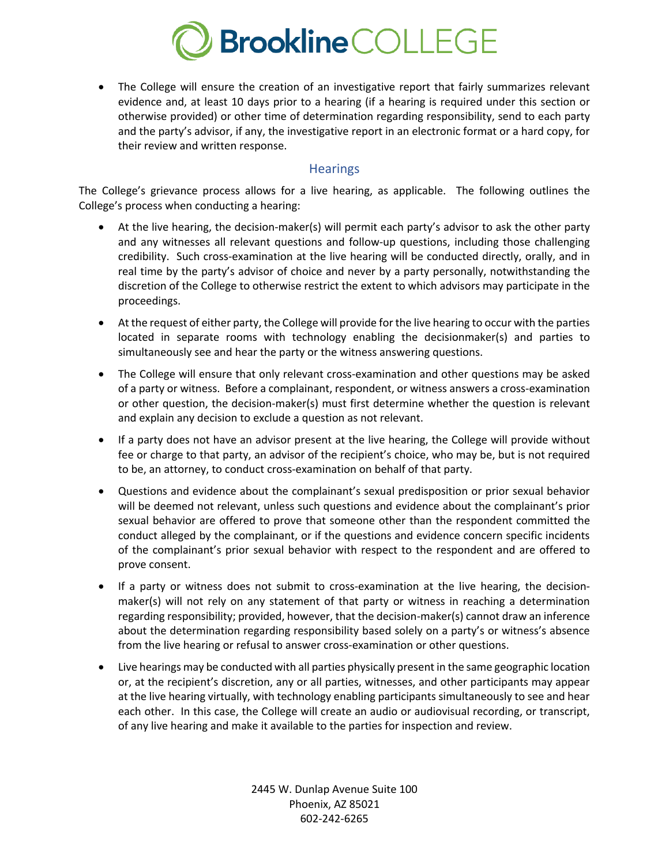

• The College will ensure the creation of an investigative report that fairly summarizes relevant evidence and, at least 10 days prior to a hearing (if a hearing is required under this section or otherwise provided) or other time of determination regarding responsibility, send to each party and the party's advisor, if any, the investigative report in an electronic format or a hard copy, for their review and written response.

#### **Hearings**

The College's grievance process allows for a live hearing, as applicable. The following outlines the College's process when conducting a hearing:

- At the live hearing, the decision-maker(s) will permit each party's advisor to ask the other party and any witnesses all relevant questions and follow-up questions, including those challenging credibility. Such cross-examination at the live hearing will be conducted directly, orally, and in real time by the party's advisor of choice and never by a party personally, notwithstanding the discretion of the College to otherwise restrict the extent to which advisors may participate in the proceedings.
- At the request of either party, the College will provide for the live hearing to occur with the parties located in separate rooms with technology enabling the decisionmaker(s) and parties to simultaneously see and hear the party or the witness answering questions.
- The College will ensure that only relevant cross-examination and other questions may be asked of a party or witness. Before a complainant, respondent, or witness answers a cross-examination or other question, the decision-maker(s) must first determine whether the question is relevant and explain any decision to exclude a question as not relevant.
- If a party does not have an advisor present at the live hearing, the College will provide without fee or charge to that party, an advisor of the recipient's choice, who may be, but is not required to be, an attorney, to conduct cross-examination on behalf of that party.
- Questions and evidence about the complainant's sexual predisposition or prior sexual behavior will be deemed not relevant, unless such questions and evidence about the complainant's prior sexual behavior are offered to prove that someone other than the respondent committed the conduct alleged by the complainant, or if the questions and evidence concern specific incidents of the complainant's prior sexual behavior with respect to the respondent and are offered to prove consent.
- If a party or witness does not submit to cross-examination at the live hearing, the decisionmaker(s) will not rely on any statement of that party or witness in reaching a determination regarding responsibility; provided, however, that the decision-maker(s) cannot draw an inference about the determination regarding responsibility based solely on a party's or witness's absence from the live hearing or refusal to answer cross-examination or other questions.
- Live hearings may be conducted with all parties physically present in the same geographic location or, at the recipient's discretion, any or all parties, witnesses, and other participants may appear at the live hearing virtually, with technology enabling participants simultaneously to see and hear each other. In this case, the College will create an audio or audiovisual recording, or transcript, of any live hearing and make it available to the parties for inspection and review.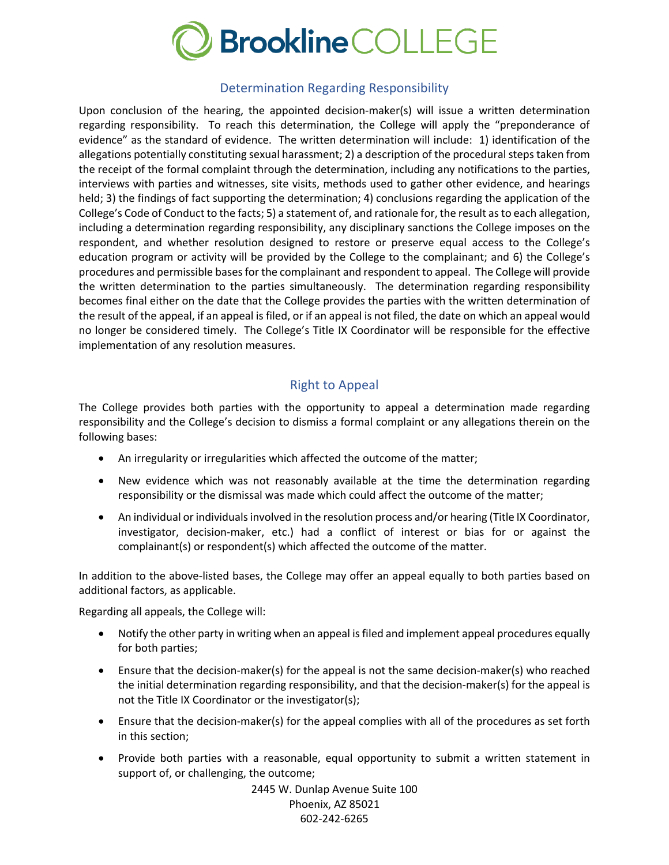

#### Determination Regarding Responsibility

Upon conclusion of the hearing, the appointed decision-maker(s) will issue a written determination regarding responsibility. To reach this determination, the College will apply the "preponderance of evidence" as the standard of evidence. The written determination will include: 1) identification of the allegations potentially constituting sexual harassment; 2) a description of the procedural steps taken from the receipt of the formal complaint through the determination, including any notifications to the parties, interviews with parties and witnesses, site visits, methods used to gather other evidence, and hearings held; 3) the findings of fact supporting the determination; 4) conclusions regarding the application of the College's Code of Conduct to the facts; 5) a statement of, and rationale for, the result as to each allegation, including a determination regarding responsibility, any disciplinary sanctions the College imposes on the respondent, and whether resolution designed to restore or preserve equal access to the College's education program or activity will be provided by the College to the complainant; and 6) the College's procedures and permissible bases for the complainant and respondent to appeal. The College will provide the written determination to the parties simultaneously. The determination regarding responsibility becomes final either on the date that the College provides the parties with the written determination of the result of the appeal, if an appeal is filed, or if an appeal is not filed, the date on which an appeal would no longer be considered timely. The College's Title IX Coordinator will be responsible for the effective implementation of any resolution measures.

# Right to Appeal

The College provides both parties with the opportunity to appeal a determination made regarding responsibility and the College's decision to dismiss a formal complaint or any allegations therein on the following bases:

- An irregularity or irregularities which affected the outcome of the matter;
- New evidence which was not reasonably available at the time the determination regarding responsibility or the dismissal was made which could affect the outcome of the matter;
- An individual or individuals involved in the resolution process and/or hearing (Title IX Coordinator, investigator, decision-maker, etc.) had a conflict of interest or bias for or against the complainant(s) or respondent(s) which affected the outcome of the matter.

In addition to the above-listed bases, the College may offer an appeal equally to both parties based on additional factors, as applicable.

Regarding all appeals, the College will:

- Notify the other party in writing when an appeal is filed and implement appeal procedures equally for both parties;
- Ensure that the decision-maker(s) for the appeal is not the same decision-maker(s) who reached the initial determination regarding responsibility, and that the decision-maker(s) for the appeal is not the Title IX Coordinator or the investigator(s);
- Ensure that the decision-maker(s) for the appeal complies with all of the procedures as set forth in this section;
- Provide both parties with a reasonable, equal opportunity to submit a written statement in support of, or challenging, the outcome;